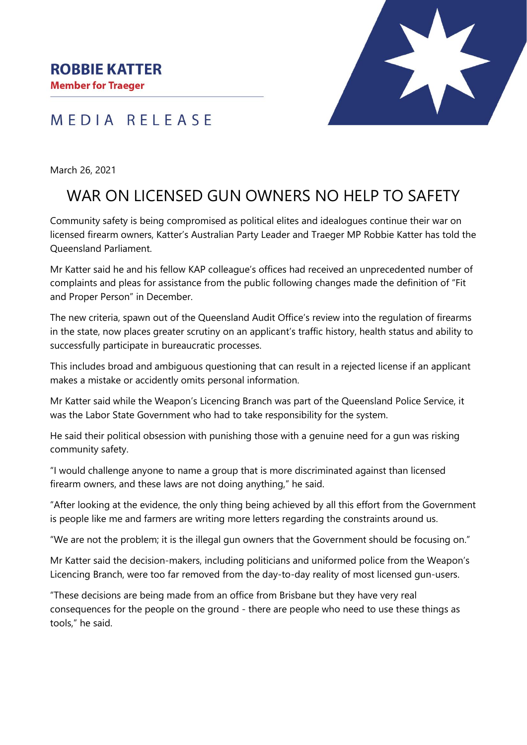MEDIA RELEASE



March 26, 2021

## WAR ON LICENSED GUN OWNERS NO HELP TO SAFETY

Community safety is being compromised as political elites and idealogues continue their war on licensed firearm owners, Katter's Australian Party Leader and Traeger MP Robbie Katter has told the Queensland Parliament.

Mr Katter said he and his fellow KAP colleague's offices had received an unprecedented number of complaints and pleas for assistance from the public following changes made the definition of "Fit and Proper Person" in December.

The new criteria, spawn out of the Queensland Audit Office's review into the regulation of firearms in the state, now places greater scrutiny on an applicant's traffic history, health status and ability to successfully participate in bureaucratic processes.

This includes broad and ambiguous questioning that can result in a rejected license if an applicant makes a mistake or accidently omits personal information.

Mr Katter said while the Weapon's Licencing Branch was part of the Queensland Police Service, it was the Labor State Government who had to take responsibility for the system.

He said their political obsession with punishing those with a genuine need for a gun was risking community safety.

"I would challenge anyone to name a group that is more discriminated against than licensed firearm owners, and these laws are not doing anything," he said.

"After looking at the evidence, the only thing being achieved by all this effort from the Government is people like me and farmers are writing more letters regarding the constraints around us.

"We are not the problem; it is the illegal gun owners that the Government should be focusing on."

Mr Katter said the decision-makers, including politicians and uniformed police from the Weapon's Licencing Branch, were too far removed from the day-to-day reality of most licensed gun-users.

"These decisions are being made from an office from Brisbane but they have very real consequences for the people on the ground - there are people who need to use these things as tools," he said.